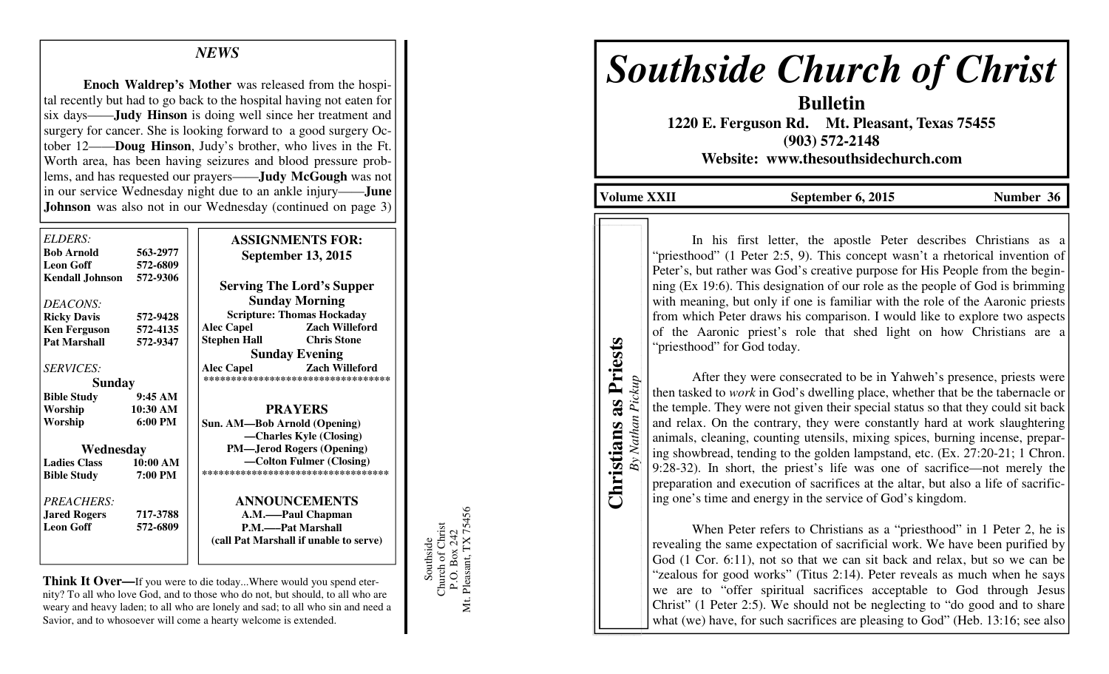## *NEWS*

**Enoch Waldrep's Mother** was released from the hospital recently but had to go back to the hospital having not eaten for six days——**Judy Hinson** is doing well since her treatment and surgery for cancer. She is looking forward to a good surgery October 12——**Doug Hinson**, Judy's brother, who lives in the Ft. Worth area, has been having seizures and blood pressure problems, and has requested our prayers——**Judy McGough** was not in our service Wednesday night due to an ankle injury——**June Johnson** was also not in our Wednesday (continued on page 3)

| ELDERS:<br><b>Bob Arnold</b><br><b>Leon Goff</b> | 563-2977<br>572-6809 | <b>ASSIGNMENTS FOR:</b><br><b>September 13, 2015</b> |
|--------------------------------------------------|----------------------|------------------------------------------------------|
| <b>Kendall Johnson</b>                           | 572-9306             | <b>Serving The Lord's Supper</b>                     |
| DEACONS:                                         |                      | <b>Sunday Morning</b>                                |
| <b>Ricky Davis</b>                               | 572-9428             | <b>Scripture: Thomas Hockaday</b>                    |
| <b>Ken Ferguson</b>                              | 572-4135             | <b>Alec Capel</b><br><b>Zach Willeford</b>           |
| <b>Pat Marshall</b>                              | 572-9347             | <b>Chris Stone</b><br><b>Stephen Hall</b>            |
|                                                  |                      | <b>Sunday Evening</b>                                |
| <b>SERVICES:</b>                                 |                      | <b>Zach Willeford</b><br><b>Alec Capel</b>           |
| <b>Sunday</b>                                    |                      | **********************************                   |
| <b>Bible Study</b>                               | 9:45AM               |                                                      |
| Worship                                          | 10:30 AM             | <b>PRAYERS</b>                                       |
| Worship                                          | $6:00 \text{ PM}$    | Sun. AM—Bob Arnold (Opening)                         |
|                                                  |                      | -Charles Kyle (Closing)                              |
| Wednesday                                        |                      | <b>PM—Jerod Rogers (Opening)</b>                     |
| <b>Ladies Class</b>                              | 10:00 AM             | —Colton Fulmer (Closing)                             |
| <b>Bible Study</b>                               | 7:00 PM              | ***********************************                  |
| PREACHERS:                                       |                      | <b>ANNOUNCEMENTS</b>                                 |
| <b>Jared Rogers</b>                              | 717-3788             | A.M.——Paul Chapman                                   |
| <b>Leon Goff</b>                                 | 572-6809             | <b>P.M.——Pat Marshall</b>                            |
|                                                  |                      | (call Pat Marshall if unable to serve)               |
|                                                  |                      |                                                      |

**Think It Over—**If you were to die today...Where would you spend eternity? To all who love God, and to those who do not, but should, to all who are weary and heavy laden; to all who are lonely and sad; to all who sin and need a Savior, and to whosoever will come a hearty welcome is extended.

Southside<br>Church of Christ<br>P.O. Box 242<br>Mt. Pleasant, TX 75456 Mt. Pleasant, TX 75456 Church of Christ P.O. Box 242 Southside

# *Southside Church of Christ*

**Bulletin 1220 E. Ferguson Rd. Mt. Pleasant, Texas 75455 (903) 572-2148 Website: www.thesouthsidechurch.com** 

**Volume XXII September 6, 2015 Number 36** 

**Christians as Priests Christians as Priests** *By Nathan Pickup* 

Pickup

By Nathan

In his first letter, the apostle Peter describes Christians as a "priesthood" (1 Peter 2:5, 9). This concept wasn't a rhetorical invention of Peter's, but rather was God's creative purpose for His People from the beginning (Ex 19:6). This designation of our role as the people of God is brimming with meaning, but only if one is familiar with the role of the Aaronic priests from which Peter draws his comparison. I would like to explore two aspects of the Aaronic priest's role that shed light on how Christians are a "priesthood" for God today.

 After they were consecrated to be in Yahweh's presence, priests were then tasked to *work* in God's dwelling place, whether that be the tabernacle or the temple. They were not given their special status so that they could sit back and relax. On the contrary, they were constantly hard at work slaughtering animals, cleaning, counting utensils, mixing spices, burning incense, preparing showbread, tending to the golden lampstand, etc. (Ex. 27:20-21; 1 Chron. 9:28-32). In short, the priest's life was one of sacrifice—not merely the preparation and execution of sacrifices at the altar, but also a life of sacrificing one's time and energy in the service of God's kingdom.

 When Peter refers to Christians as a "priesthood" in 1 Peter 2, he is revealing the same expectation of sacrificial work. We have been purified by God (1 Cor. 6:11), not so that we can sit back and relax, but so we can be "zealous for good works" (Titus 2:14). Peter reveals as much when he says we are to "offer spiritual sacrifices acceptable to God through Jesus Christ" (1 Peter 2:5). We should not be neglecting to "do good and to share what (we) have, for such sacrifices are pleasing to God" (Heb. 13:16; see also